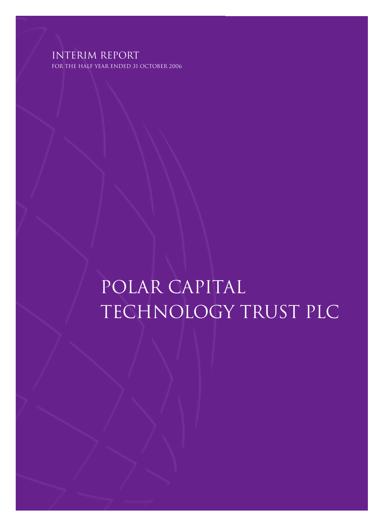# interim report

for the half year ended 31 october 2006

# Polar Capital Technology Trust PLC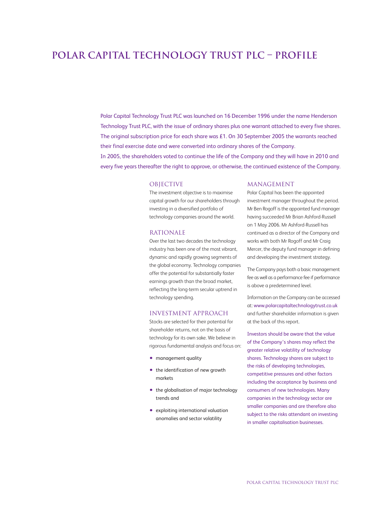### **Polar Capital Technology Trust Plc – ProfilE**

Polar Capital Technology Trust PLC was launched on 16 December 1996 under the name Henderson Technology Trust PLC, with the issue of ordinary shares plus one warrant attached to every five shares. The original subscription price for each share was £1. On 30 September 2005 the warrants reached their final exercise date and were converted into ordinary shares of the Company. In 2005, the shareholders voted to continue the life of the Company and they will have in 2010 and every five years thereafter the right to approve, or otherwise, the continued existence of the Company.

### **OBJECTIVE**

The investment objective is to maximise capital growth for our shareholders through investing in a diversified portfolio of technology companies around the world.

### RATIONALE

Over the last two decades the technology industry has been one of the most vibrant, dynamic and rapidly growing segments of the global economy. Technology companies offer the potential for substantially faster earnings growth than the broad market, reflecting the long-term secular uptrend in technology spending.

### INVESTMENT APPROACH

Stocks are selected for their potential for shareholder returns, not on the basis of technology for its own sake. We believe in rigorous fundamental analysis and focus on:

- management quality
- the identification of new growth markets
- the globalisation of major technology trends and
- exploiting international valuation anomalies and sector volatility

#### MANAGEMENT

Polar Capital has been the appointed investment manager throughout the period. Mr Ben Rogoff is the appointed fund manager having succeeded Mr Brian Ashford-Russell on 1 May 2006. Mr Ashford-Russell has continued as a director of the Company and works with both Mr Rogoff and Mr Craig Mercer, the deputy fund manager in defining and developing the investment strategy.

The Company pays both a basic management fee as well as a performance fee if performance is above a predetermined level.

Information on the Company can be accessed at: www.polarcapitaltechnologytrust.co.uk and further shareholder information is given at the back of this report.

Investors should be aware that the value of the Company's shares may reflect the greater relative volatility of technology shares. Technology shares are subject to the risks of developing technologies, competitive pressures and other factors including the acceptance by business and consumers of new technologies. Many companies in the technology sector are smaller companies and are therefore also subject to the risks attendant on investing in smaller capitalisation businesses.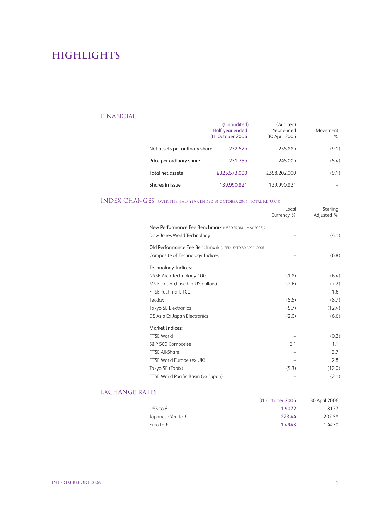### **Highlights**

### FINANCIAL

|                               | (Unaudited)<br>Half year ended<br>31 October 2006 | (Audited)<br>Year ended<br>30 April 2006 | Movement<br>$\%$ |
|-------------------------------|---------------------------------------------------|------------------------------------------|------------------|
| Net assets per ordinary share | 232.57 <sub>p</sub>                               | 255.88p                                  | (9.1)            |
| Price per ordinary share      | 231.75 <sub>p</sub>                               | 245.00p                                  | (5.4)            |
| Total net assets              | £325.573.000                                      | £358.202.000                             | (9.1)            |
| Shares in issue               | 139,990,821                                       | 139.990.821                              |                  |

### INDEX CHANGES over the half year ended 31 october 2006 (Total Return)

|                                                           | Local<br>Currency % | Sterling<br>Adjusted % |
|-----------------------------------------------------------|---------------------|------------------------|
| New Performance Fee Benchmark (USED FROM 1 MAY 2006):     |                     |                        |
| Dow Jones World Technology                                |                     | (4.1)                  |
| Old Performance Fee Benchmark (USED UP TO 30 APRIL 2006): |                     |                        |
| Composite of Technology Indices                           |                     | (6.8)                  |
| Technology Indices:                                       |                     |                        |
| NYSE Arca Technology 100                                  | (1.8)               | (6.4)                  |
| MS Eurotec (based in US dollars)                          | (2.6)               | (7.2)                  |
| FTSE Techmark 100                                         |                     | 1.6                    |
| Tecdax                                                    | (5.5)               | (8.7)                  |
| <b>Tokyo SE Electronics</b>                               | (5.7)               | (12.4)                 |
| DS Asia Ex Japan Electronics                              | (2.0)               | (6.6)                  |
| <b>Market Indices:</b>                                    |                     |                        |
| <b>FTSF World</b>                                         |                     | (0.2)                  |
| S&P 500 Composite                                         | 6.1                 | 1.1                    |
| <b>FTSE All-Share</b>                                     |                     | 3.7                    |
| FTSE World Europe (ex UK)                                 |                     | 2.8                    |
| Tokyo SE (Topix)                                          | (5.3)               | (12.0)                 |
| FTSE World Pacific Basin (ex Japan)                       |                     | (2.1)                  |
|                                                           |                     |                        |

### EXCHANGE RATES

|                     | 31 October 2006 | 30 April 2006 |
|---------------------|-----------------|---------------|
| US\$ to £           | 1.9072          | 18177         |
| Japanese Yen to $f$ | 223.44          | 207.58        |
| Euro to $f$         | 1.4943          | 1.4430        |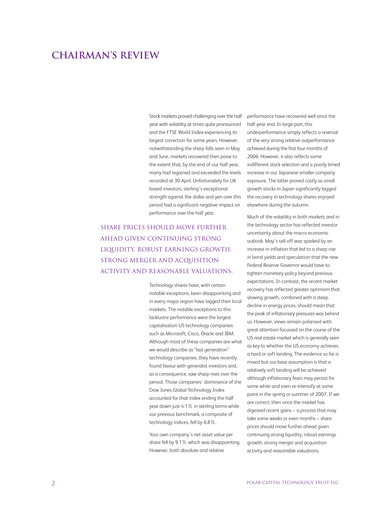### **Chairman's review**

Stock markets proved challenging over the half year with volatility at times quite pronounced and the FTSE World Index experiencing its largest correction for some years. However, notwithstanding the sharp falls seen in May and June, markets recovered their poise to the extent that, by the end of our half year, many had regained and exceeded the levels recorded at 30 April. Unfortunately for UK based investors, sterling's exceptional strength against the dollar and yen over this period had a significant negative impact on performance over the half year.

### share prices should move furtherahead given continuing strong liquidity, robust earnings growth, strong merger and acquisition activity and reasonable valuations.

Technology shares have, with certain notable exceptions, been disappointing and in every major region have lagged their local markets. The notable exceptions to this lacklustre performance were the largest capitalisation US technology companies such as Microsoft, Cisco, Oracle and IBM. Although most of these companies are what we would describe as "last generation" technology companies, they have recently found favour with generalist investors and, as a consequence, saw sharp rises over the period. Those companies' dominance of the Dow Jones Global Technology Index accounted for that index ending the half year down just 4.1% in sterling terms while our previous benchmark, a composite of technology indices, fell by 6.8%.

Your own company's net asset value per share fell by 9.1% which was disappointing. However, both absolute and relative

performance have recovered well since the half year end. In large part, this underperformance simply reflects a reversal of the very strong relative outperformance achieved during the first four months of 2006. However, it also reflects some indifferent stock selection and a poorly timed increase in our Japanese smaller company exposure. The latter proved costly as small growth stocks in Japan significantly lagged the recovery in technology shares enjoyed elsewhere during the autumn.

Much of the volatility in both markets and in the technology sector has reflected investor uncertainty about the macro economic outlook. May's sell-off was sparked by an increase in inflation that led to a sharp rise in bond yields and speculation that the new Federal Reserve Governor would have to tighten monetary policy beyond previous expectations. In contrast, the recent market recovery has reflected greater optimism that slowing growth, combined with a steep decline in energy prices, should mean that the peak of inflationary pressures was behind us. However, views remain polarised with great attention focussed on the course of the US real estate market which is generally seen as key to whether the US economy achieves a hard or soft landing. The evidence so far is mixed but our base assumption is that a relatively soft landing will be achieved although inflationary fears may persist for some while and even re-intensify at some point in the spring or summer of 2007. If we are correct, then once the market has digested recent gains – a process that may take some weeks or even months – share prices should move further ahead given continuing strong liquidity, robust earnings growth, strong merger and acquisition activity and reasonable valuations.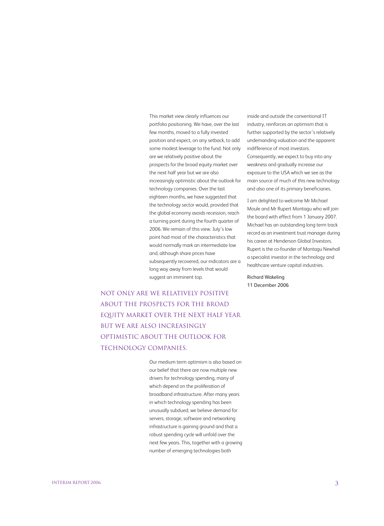This market view clearly influences our portfolio positioning. We have, over the last few months, moved to a fully invested position and expect, on any setback, to add some modest leverage to the fund. Not only are we relatively positive about the prospects for the broad equity market over the next half year but we are also increasingly optimistic about the outlook for technology companies. Over the last eighteen months, we have suggested that the technology sector would, provided that the global economy avoids recession, reach a turning point during the fourth quarter of 2006. We remain of this view. July's low point had most of the characteristics that would normally mark an intermediate low and, although share prices have subsequently recovered, our indicators are a long way away from levels that would suggest an imminent top.

Not only are we relatively positiveabout the prospects for the broad equity market over the next half yearbut we are also increasingly optimistic about the outlook for technology companies.

> Our medium term optimism is also based on our belief that there are now multiple new drivers for technology spending, many of which depend on the proliferation of broadband infrastructure. After many years in which technology spending has been unusually subdued, we believe demand for servers, storage, software and networking infrastructure is gaining ground and that a robust spending cycle will unfold over the next few years. This, together with a growing number of emerging technologies both

inside and outside the conventional IT industry, reinforces an optimism that is further supported by the sector's relatively undemanding valuation and the apparent indifference of most investors. Consequently, we expect to buy into any weakness and gradually increase our exposure to the USA which we see as the main source of much of this new technology and also one of its primary beneficiaries.

I am delighted to welcome Mr Michael Moule and Mr Rupert Montagu who will join the board with effect from 1 January 2007. Michael has an outstanding long term track record as an investment trust manager during his career at Henderson Global Investors. Rupert is the co-founder of Montagu Newhall a specialist investor in the technology and healthcare venture capital industries.

Richard Wakeling 11 December 2006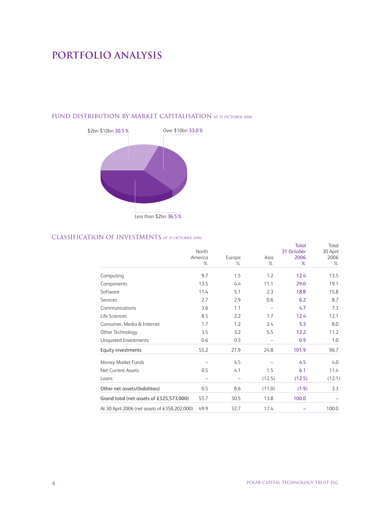## **PORTFOLIO ANALYSIS**



### FUND DISTRIBUTION BY MARKET CAPITALISATION AT 31 OCTOBER 2006

### CLASSIFICATION OF INVESTMENTS at 31 october 2006

|                                               |                 |                |              | <b>Total</b> | Total<br>30 April |
|-----------------------------------------------|-----------------|----------------|--------------|--------------|-------------------|
|                                               | North           |                |              | 31 October   |                   |
|                                               | America<br>$\%$ | Europe<br>$\%$ | Asia<br>$\%$ | 2006<br>$\%$ | 2006<br>$\%$      |
|                                               |                 |                |              |              |                   |
| Computing                                     | 9.7             | 1.5            | 1.2          | 12.4         | 13.5              |
| Components                                    | 13.5            | 4.4            | 11.1         | 29.0         | 19.1              |
| Software                                      | 11.4            | 5.1            | 2.3          | 18.8         | 15.8              |
| <b>Services</b>                               | 2.7             | 2.9            | 0.6          | 6.2          | 8.7               |
| Communications                                | 3.6             | 1.1            |              | 4.7          | 7.3               |
| Life Sciences                                 | 8.5             | 2.2            | 1.7          | 12.4         | 12.1              |
| Consumer, Media & Internet                    | 1.7             | 1.2            | 2.4          | 5.3          | 8.0               |
| Other Technology                              | 3.5             | 3.2            | 5.5          | 12.2         | 11.2              |
| Unquoted Investments                          | 0.6             | 0.3            |              | 0.9          | 1.0               |
| Equity investments                            | 55.2            | 21.9           | 24.8         | 101.9        | 96.7              |
| Money Market Funds                            |                 | 4.5            |              | 4.5          | 4.0               |
| Net Current Assets                            | 0.5             | 4.1            | 1.5          | 6.1          | 11.4              |
| Loans                                         |                 |                | (12.5)       | (12.5)       | (12.1)            |
| Other net assets/(liabilities)                | 0.5             | 8.6            | (11.0)       | (1.9)        | 3.3               |
| Grand total (net assets of £325,573,000)      | 55.7            | 30.5           | 13.8         | 100.0        |                   |
| At 30 April 2006 (net assets of £358,202,000) | 49.9            | 32.7           | 17.4         |              | 100.0             |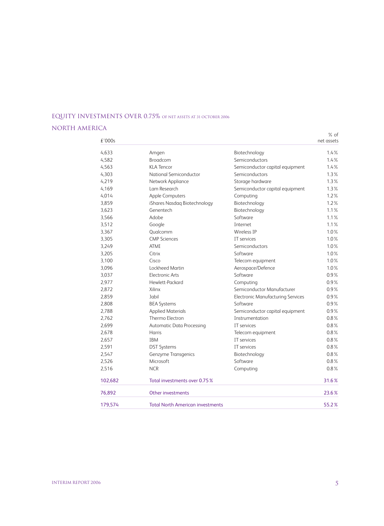### EQUITY INVESTMENTS OVER 0.75% of net assets at 31 october 2006

### NORTH AMERICA

| £'000s  |                                         |                                          | $%$ of<br>net assets |
|---------|-----------------------------------------|------------------------------------------|----------------------|
| 4,633   | Amgen                                   | Biotechnology                            | 1.4%                 |
| 4,582   | <b>Broadcom</b>                         | Semiconductors                           | 1.4%                 |
| 4,563   | <b>KLA Tencor</b>                       | Semiconductor capital equipment          | 1.4%                 |
| 4,303   | National Semiconductor                  | Semiconductors                           | 1.3%                 |
| 4,219   | Network Appliance                       | Storage hardware                         | 1.3%                 |
| 4,169   | Lam Research                            | Semiconductor capital equipment          | 1.3%                 |
| 4,014   | Apple Computers                         | Computing                                | 1.2%                 |
| 3,859   | iShares Nasdaq Biotechnology            | Biotechnology                            | 1.2%                 |
| 3,623   | Genentech                               | Biotechnology                            | 1.1%                 |
| 3,566   | Adobe                                   | Software                                 | 1.1%                 |
| 3,512   | Google                                  | Internet                                 | 1.1%                 |
| 3,367   | Qualcomm                                | <b>Wireless IP</b>                       | 1.0%                 |
| 3,305   | <b>CMP Sciences</b>                     | IT services                              | 1.0%                 |
| 3,249   | <b>ATMI</b>                             | Semiconductors                           | 1.0%                 |
| 3,205   | Citrix                                  | Software                                 | 1.0%                 |
| 3,100   | Cisco                                   | Telecom equipment                        | 1.0%                 |
| 3,096   | Lockheed Martin                         | Aerospace/Defence                        | 1.0%                 |
| 3,037   | <b>Electronic Arts</b>                  | Software                                 | 0.9%                 |
| 2,977   | Hewlett-Packard                         | Computing                                | 0.9%                 |
| 2,872   | Xilinx                                  | Semiconductor Manufacturer               | 0.9%                 |
| 2,859   | Jabil                                   | <b>Electronic Manufacturing Services</b> | 0.9%                 |
| 2,808   | <b>BEA Systems</b>                      | Software                                 | 0.9%                 |
| 2,788   | <b>Applied Materials</b>                | Semiconductor capital equipment          | $0.9\%$              |
| 2,762   | Thermo Electron                         | Instrumentation                          | 0.8%                 |
| 2,699   | <b>Automatic Data Processing</b>        | IT services                              | $0.8\%$              |
| 2,678   | <b>Harris</b>                           | Telecom equipment                        | $0.8\%$              |
| 2,657   | <b>IBM</b>                              | IT services                              | 0.8%                 |
| 2,591   | <b>DST Systems</b>                      | IT services                              | 0.8%                 |
| 2,547   | Genzyme Transgenics                     | Biotechnology                            | $0.8\%$              |
| 2,526   | Microsoft                               | Software                                 | $0.8\%$              |
| 2,516   | <b>NCR</b>                              | Computing                                | 0.8%                 |
| 102,682 | Total investments over 0.75 %           |                                          | 31.6%                |
| 76,892  | Other investments                       |                                          | 23.6%                |
| 179,574 | <b>Total North American investments</b> |                                          | 55.2%                |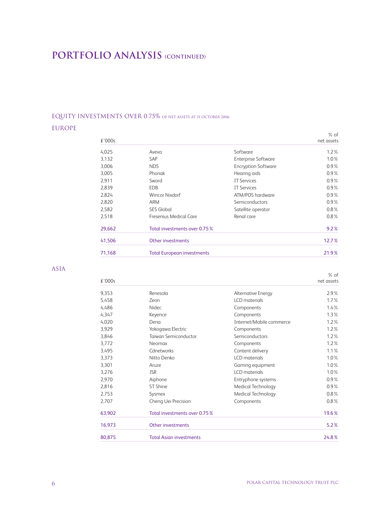### **PORTFOLIO ANALYSIS (continued)**

### EQUITY INVESTMENTS OVER 0.75% of net assets at 31 october 2006

### EUROPE

| £'000s |                                   |                            | $%$ of<br>net assets |
|--------|-----------------------------------|----------------------------|----------------------|
| 4,025  | Aveva                             | Software                   | $1.2\%$              |
| 3,132  | <b>SAP</b>                        | <b>Enterprise Software</b> | 1.0%                 |
| 3,006  | <b>NDS</b>                        | <b>Encryption Software</b> | $0.9\%$              |
| 3,005  | Phonak                            | Hearing aids               | $0.9\%$              |
| 2,911  | Sword                             | <b>IT Services</b>         | $0.9\%$              |
| 2,839  | <b>EDB</b>                        | <b>IT Services</b>         | $0.9\%$              |
| 2,824  | Wincor Nixdorf                    | ATM/POS hardware           | $0.9\%$              |
| 2,820  | <b>ARM</b>                        | Semiconductors             | $0.9\%$              |
| 2,582  | <b>SES Global</b>                 | Satellite operator         | $0.8\%$              |
| 2,518  | Fresenius Medical Care            | Renal care                 | $0.8\%$              |
| 29,662 | Total investments over 0.75 %     |                            | 9.2%                 |
| 41,506 | Other investments                 |                            | 12.7%                |
| 71,168 | <b>Total European investments</b> |                            | 21.9%                |

ASIA

% of

| £'000s |                                |                           | net assets |
|--------|--------------------------------|---------------------------|------------|
| 9,353  | Renesola                       | <b>Alternative Energy</b> | $2.9\%$    |
| 5,458  | Zeon                           | LCD materials             | 1.7%       |
| 4,486  | Nidec                          | Components                | 1.4%       |
| 4,347  | Keyence                        | Components                | 1.3%       |
| 4,020  | Dena                           | Internet/Mobile commerce  | 1.2%       |
| 3,929  | Yokogawa Electric              | Components                | 1.2%       |
| 3,846  | <b>Taiwan Semiconductor</b>    | Semiconductors            | 1.2%       |
| 3,772  | Neomax                         | Components                | 1.2%       |
| 3,495  | Cdnetworks                     | Content delivery          | 1.1%       |
| 3,373  | Nitto Denko                    | <b>LCD</b> materials      | $1.0\%$    |
| 3,301  | Aruze                          | Gaming equipment          | $1.0\%$    |
| 3,276  | <b>JSR</b>                     | <b>LCD</b> materials      | 1.0%       |
| 2,970  | Aiphone                        | Entryphone systems        | $0.9\%$    |
| 2,816  | ST Shine                       | Medical Technology        | $0.9\%$    |
| 2,753  | Sysmex                         | Medical Technology        | $0.8\%$    |
| 2,707  | Cheng Uei Precision            | Components                | $0.8\%$    |
| 63,902 | Total investments over 0.75 %  |                           | 19.6%      |
| 16,973 | Other investments              |                           | 5.2%       |
| 80,875 | <b>Total Asian investments</b> |                           | 24.8%      |
|        |                                |                           |            |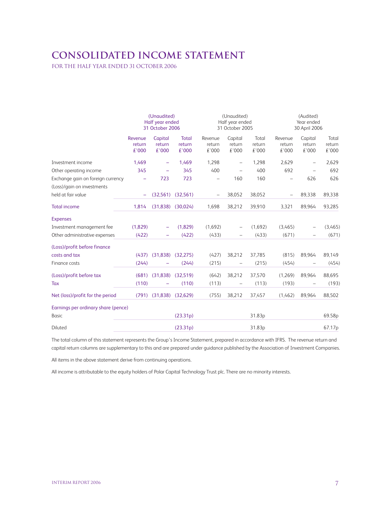### **Consolidated income statement**

for the half year ended 31 october 2006

|                                     | (Unaudited)<br>Half year ended<br>31 October 2006 |                            | (Unaudited)<br>Half year ended<br>31 October 2005 |                            |                            | (Audited)<br>Year ended<br>30 April 2006 |                            |                            |                          |
|-------------------------------------|---------------------------------------------------|----------------------------|---------------------------------------------------|----------------------------|----------------------------|------------------------------------------|----------------------------|----------------------------|--------------------------|
|                                     | Revenue<br>return<br>£'000                        | Capital<br>return<br>£'000 | <b>Total</b><br>return<br>£'000                   | Revenue<br>return<br>£'000 | Capital<br>return<br>£'000 | Total<br>return<br>£'000                 | Revenue<br>return<br>£'000 | Capital<br>return<br>£'000 | Total<br>return<br>£'000 |
| Investment income                   | 1,469                                             |                            | 1,469                                             | 1,298                      | $\overline{\phantom{m}}$   | 1,298                                    | 2,629                      | —                          | 2,629                    |
| Other operating income              | 345                                               |                            | 345                                               | 400                        |                            | 400                                      | 692                        |                            | 692                      |
| Exchange gain on foreign currency   | ÷                                                 | 723                        | 723                                               | $\overline{\phantom{0}}$   | 160                        | 160                                      | $\qquad \qquad -$          | 626                        | 626                      |
| (Loss)/gain on investments          |                                                   |                            |                                                   |                            |                            |                                          |                            |                            |                          |
| held at fair value                  |                                                   | (32,561)                   | (32,561)                                          |                            | 38,052                     | 38,052                                   |                            | 89,338                     | 89,338                   |
| <b>Total income</b>                 | 1,814                                             | (31, 838)                  | (30,024)                                          | 1,698                      | 38,212                     | 39,910                                   | 3,321                      | 89,964                     | 93,285                   |
| <b>Expenses</b>                     |                                                   |                            |                                                   |                            |                            |                                          |                            |                            |                          |
| Investment management fee           | (1,829)                                           |                            | (1,829)                                           | (1,692)                    |                            | (1,692)                                  | (3,465)                    |                            | (3,465)                  |
| Other administrative expenses       | (422)                                             |                            | (422)                                             | (433)                      |                            | (433)                                    | (671)                      | $\overline{\phantom{0}}$   | (671)                    |
| (Loss)/profit before finance        |                                                   |                            |                                                   |                            |                            |                                          |                            |                            |                          |
| costs and tax                       |                                                   | $(437)$ $(31,838)$         | (32, 275)                                         | (427)                      | 38,212                     | 37,785                                   | (815)                      | 89,964                     | 89,149                   |
| Finance costs                       | (244)                                             |                            | (244)                                             | (215)                      | —                          | (215)                                    | (454)                      |                            | (454)                    |
| (Loss)/profit before tax            |                                                   | $(681)$ $(31,838)$         | (32,519)                                          | (642)                      | 38,212                     | 37,570                                   | (1,269)                    | 89,964                     | 88,695                   |
| Tax                                 | (110)                                             |                            | (110)                                             | (113)                      |                            | (113)                                    | (193)                      |                            | (193)                    |
| Net (loss)/profit for the period    |                                                   | $(791)$ $(31,838)$         | (32,629)                                          | (755)                      | 38,212                     | 37,457                                   | (1,462)                    | 89,964                     | 88,502                   |
| Earnings per ordinary share (pence) |                                                   |                            |                                                   |                            |                            |                                          |                            |                            |                          |
| <b>Basic</b>                        |                                                   |                            | (23.31p)                                          |                            |                            | 31.83p                                   |                            |                            | 69.58p                   |
| Diluted                             |                                                   |                            | (23.31p)                                          |                            |                            | 31.83p                                   |                            |                            | 67.17p                   |
|                                     |                                                   |                            |                                                   |                            |                            |                                          |                            |                            |                          |

The total column of this statement represents the Group's Income Statement, prepared in accordance with IFRS. The revenue return and capital return columns are supplementary to this and are prepared under guidance published by the Association of Investment Companies.

All items in the above statement derive from continuing operations.

All income is attributable to the equity holders of Polar Capital Technology Trust plc. There are no minority interests.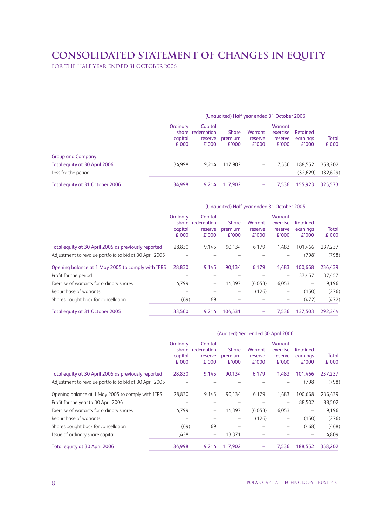### **Consolidated Statement of changes in equity**

for the half year ended 31 october 2006

### (Unaudited) Half year ended 31 October 2006 Ordinary Capital Warrant share redemption Share Warrant exercise Retained capital reserve premium reserve reserve earnings Total  $\angle$  Total  $\angle$  Total  $\angle$  Total  $\angle$  Total  $\angle$  Total  $\angle$  Total  $\angle$  Total  $\angle$  Total  $\angle$  Total  $\angle$  Total  $\angle$  Total  $\angle$  Total  $\angle$  Total  $\angle$  Total  $\angle$  Total £'000 £'000 £'000 £'000 £'000 £'000 £'000 Group and Company Total equity at 30 April 2006 34,998 9,214 117,902 – 7,536 188,552 358,202 Loss for the period – –––– (32,629) (32,629) Total equity at 31 October 2006 34,998 9,214 117,902 – 7,536 155,923 325,573

#### (Unaudited) Half year ended 31 October 2005

|                                                         | Ordinary<br>share<br>capital<br>£'000 | Capital<br>redemption<br>reserve<br>£'000 | <b>Share</b><br>premium<br>£'000 | Warrant<br>reserve<br>£'000 | Warrant<br>exercise<br>reserve<br>£'000 | Retained<br>earnings<br>£'000 | Total<br>£'000 |
|---------------------------------------------------------|---------------------------------------|-------------------------------------------|----------------------------------|-----------------------------|-----------------------------------------|-------------------------------|----------------|
| Total equity at 30 April 2005 as previously reported    | 28,830                                | 9,145                                     | 90,134                           | 6,179                       | 1,483                                   | 101.466                       | 237,237        |
| Adjustment to revalue portfolio to bid at 30 April 2005 |                                       |                                           |                                  |                             |                                         | (798)                         | (798)          |
| Opening balance at 1 May 2005 to comply with IFRS       | 28,830                                | 9,145                                     | 90,134                           | 6.179                       | 1.483                                   | 100.668                       | 236,439        |
| Profit for the period                                   |                                       |                                           |                                  |                             | $\qquad \qquad -$                       | 37,457                        | 37,457         |
| Exercise of warrants for ordinary shares                | 4,799                                 | $\qquad \qquad -$                         | 14,397                           | (6,053)                     | 6,053                                   | $\qquad \qquad -$             | 19,196         |
| Repurchase of warrants                                  |                                       |                                           | -                                | (126)                       | $\qquad \qquad -$                       | (150)                         | (276)          |
| Shares bought back for cancellation                     | (69)                                  | 69                                        |                                  |                             | -                                       | (472)                         | (472)          |
| Total equity at 31 October 2005                         | 33,560                                | 9,214                                     | 104,531                          |                             | 7.536                                   | 137,503                       | 292,344        |

|                                                         | (Audited) Year ended 30 April 2006    |                                           |                                  |                             |                                         |                               |                |
|---------------------------------------------------------|---------------------------------------|-------------------------------------------|----------------------------------|-----------------------------|-----------------------------------------|-------------------------------|----------------|
|                                                         | Ordinary<br>share<br>capital<br>£'000 | Capital<br>redemption<br>reserve<br>£'000 | <b>Share</b><br>premium<br>£'000 | Warrant<br>reserve<br>£'000 | Warrant<br>exercise<br>reserve<br>£'000 | Retained<br>earnings<br>£'000 | Total<br>£'000 |
| Total equity at 30 April 2005 as previously reported    | 28,830                                | 9,145                                     | 90,134                           | 6,179                       | 1,483                                   | 101,466                       | 237,237        |
| Adjustment to revalue portfolio to bid at 30 April 2005 |                                       |                                           |                                  |                             |                                         | (798)                         | (798)          |
| Opening balance at 1 May 2005 to comply with IFRS       | 28,830                                | 9,145                                     | 90,134                           | 6,179                       | 1.483                                   | 100,668                       | 236,439        |
| Profit for the year to 30 April 2006                    |                                       |                                           |                                  |                             |                                         | 88,502                        | 88,502         |
| Exercise of warrants for ordinary shares                | 4,799                                 | $\overline{\phantom{m}}$                  | 14,397                           | (6,053)                     | 6,053                                   |                               | 19,196         |
| Repurchase of warrants                                  | $\overline{\phantom{m}}$              |                                           | -                                | (126)                       | -                                       | (150)                         | (276)          |
| Shares bought back for cancellation                     | (69)                                  | 69                                        |                                  |                             |                                         | (468)                         | (468)          |
| Issue of ordinary share capital                         | 1,438                                 | $\qquad \qquad -$                         | 13,371                           |                             |                                         |                               | 14,809         |
| Total equity at 30 April 2006                           | 34,998                                | 9.214                                     | 117.902                          |                             | 7.536                                   | 188,552                       | 358,202        |

### Polar Capital Technology Trust PLC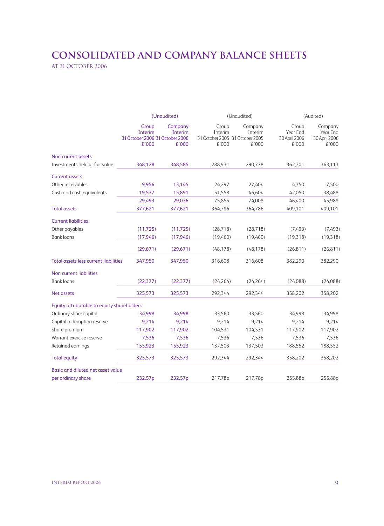### **Consolidated and company balance sheets** AT 31 OCTOBER 2006

|                                            |                                                              | (Unaudited)                 |                                                              | (Unaudited)                 | (Audited)                                   |                                               |
|--------------------------------------------|--------------------------------------------------------------|-----------------------------|--------------------------------------------------------------|-----------------------------|---------------------------------------------|-----------------------------------------------|
|                                            | Group<br>Interim<br>31 October 2006 31 October 2006<br>£'000 | Company<br>Interim<br>£'000 | Group<br>Interim<br>31 October 2005 31 October 2005<br>£'000 | Company<br>Interim<br>£'000 | Group<br>Year End<br>30 April 2006<br>£'000 | Company<br>Year End<br>30 April 2006<br>£'000 |
| Non current assets                         |                                                              |                             |                                                              |                             |                                             |                                               |
| Investments held at fair value             | 348,128                                                      | 348,585                     | 288,931                                                      | 290,778                     | 362,701                                     | 363,113                                       |
| <b>Current assets</b>                      |                                                              |                             |                                                              |                             |                                             |                                               |
| Other receivables                          | 9,956                                                        | 13,145                      | 24,297                                                       | 27,404                      | 4,350                                       | 7,500                                         |
| Cash and cash equivalents                  | 19,537                                                       | 15,891                      | 51,558                                                       | 46,604                      | 42,050                                      | 38,488                                        |
|                                            | 29,493                                                       | 29,036                      | 75,855                                                       | 74,008                      | 46,400                                      | 45,988                                        |
| <b>Total assets</b>                        | 377,621                                                      | 377,621                     | 364,786                                                      | 364,786                     | 409,101                                     | 409,101                                       |
| <b>Current liabilities</b>                 |                                                              |                             |                                                              |                             |                                             |                                               |
| Other payables                             | (11, 725)                                                    | (11, 725)                   | (28, 718)                                                    | (28, 718)                   | (7,493)                                     | (7,493)                                       |
| <b>Bank loans</b>                          | (17, 946)                                                    | (17, 946)                   | (19,460)                                                     | (19,460)                    | (19, 318)                                   | (19, 318)                                     |
|                                            | (29, 671)                                                    | (29,671)                    | (48, 178)                                                    | (48, 178)                   | (26, 811)                                   | (26, 811)                                     |
| Total assets less current liabilities      | 347,950                                                      | 347,950                     | 316,608                                                      | 316,608                     | 382,290                                     | 382,290                                       |
| Non current liabilities                    |                                                              |                             |                                                              |                             |                                             |                                               |
| <b>Bank loans</b>                          | (22, 377)                                                    | (22, 377)                   | (24, 264)                                                    | (24, 264)                   | (24,088)                                    | (24,088)                                      |
| Net assets                                 | 325,573                                                      | 325,573                     | 292,344                                                      | 292,344                     | 358,202                                     | 358,202                                       |
| Equity attributable to equity shareholders |                                                              |                             |                                                              |                             |                                             |                                               |
| Ordinary share capital                     | 34,998                                                       | 34,998                      | 33,560                                                       | 33,560                      | 34,998                                      | 34,998                                        |
| Capital redemption reserve                 | 9,214                                                        | 9,214                       | 9,214                                                        | 9,214                       | 9,214                                       | 9,214                                         |
| Share premium                              | 117,902                                                      | 117,902                     | 104,531                                                      | 104,531                     | 117,902                                     | 117,902                                       |
| Warrant exercise reserve                   | 7,536                                                        | 7,536                       | 7,536                                                        | 7,536                       | 7,536                                       | 7,536                                         |
| Retained earnings                          | 155,923                                                      | 155,923                     | 137,503                                                      | 137,503                     | 188,552                                     | 188,552                                       |
| <b>Total equity</b>                        | 325,573                                                      | 325,573                     | 292,344                                                      | 292,344                     | 358,202                                     | 358,202                                       |
| Basic and diluted net asset value          |                                                              |                             |                                                              |                             |                                             |                                               |
| per ordinary share                         | 232.57p                                                      | 232.57p                     | 217.78p                                                      | 217.78p                     | 255.88p                                     | 255.88p                                       |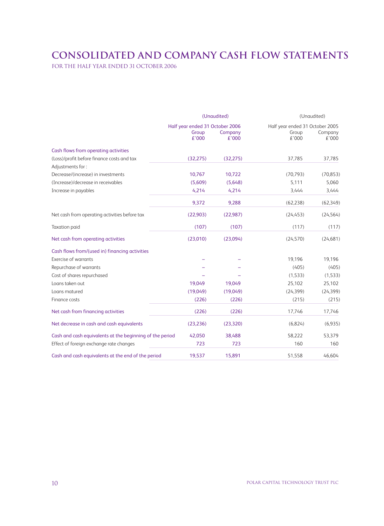# **Consolidated and company Cash Flow Statements**

for the half year ended 31 october 2006

|                                                          |                                                   | (Unaudited)      | (Unaudited)                                       |                  |  |
|----------------------------------------------------------|---------------------------------------------------|------------------|---------------------------------------------------|------------------|--|
|                                                          | Half year ended 31 October 2006<br>Group<br>£'000 | Company<br>£'000 | Half year ended 31 October 2005<br>Group<br>£'000 | Company<br>£'000 |  |
| Cash flows from operating activities                     |                                                   |                  |                                                   |                  |  |
| (Loss)/profit before finance costs and tax               | (32, 275)                                         | (32, 275)        | 37,785                                            | 37,785           |  |
| Adjustments for:                                         |                                                   |                  |                                                   |                  |  |
| Decrease/(increase) in investments                       | 10,767                                            | 10,722           | (70, 793)                                         | (70, 853)        |  |
| (Increase)/decrease in receivables                       | (5,609)                                           | (5,648)          | 5,111                                             | 5,060            |  |
| Increase in payables                                     | 4,214                                             | 4,214            | 3,444                                             | 3,444            |  |
|                                                          | 9,372                                             | 9,288            | (62, 238)                                         | (62, 349)        |  |
| Net cash from operating activities before tax            | (22,903)                                          | (22, 987)        | (24, 453)                                         | (24, 564)        |  |
| <b>Taxation paid</b>                                     | (107)                                             | (107)            | (117)                                             | (117)            |  |
| Net cash from operating activities                       | (23,010)                                          | (23,094)         | (24, 570)                                         | (24, 681)        |  |
| Cash flows from/(used in) financing activities           |                                                   |                  |                                                   |                  |  |
| Exercise of warrants                                     |                                                   |                  | 19,196                                            | 19,196           |  |
| Repurchase of warrants                                   |                                                   |                  | (405)                                             | (405)            |  |
| Cost of shares repurchased                               |                                                   |                  | (1,533)                                           | (1,533)          |  |
| Loans taken out                                          | 19.049                                            | 19,049           | 25,102                                            | 25,102           |  |
| Loans matured                                            | (19,049)                                          | (19,049)         | (24, 399)                                         | (24, 399)        |  |
| Finance costs                                            | (226)                                             | (226)            | (215)                                             | (215)            |  |
| Net cash from financing activities                       | (226)                                             | (226)            | 17,746                                            | 17,746           |  |
| Net decrease in cash and cash equivalents                | (23, 236)                                         | (23, 320)        | (6,824)                                           | (6,935)          |  |
| Cash and cash equivalents at the beginning of the period | 42,050                                            | 38,488           | 58,222                                            | 53,379           |  |
| Effect of foreign exchange rate changes                  | 723                                               | 723              | 160                                               | 160              |  |
| Cash and cash equivalents at the end of the period       | 19,537                                            | 15,891           | 51,558                                            | 46,604           |  |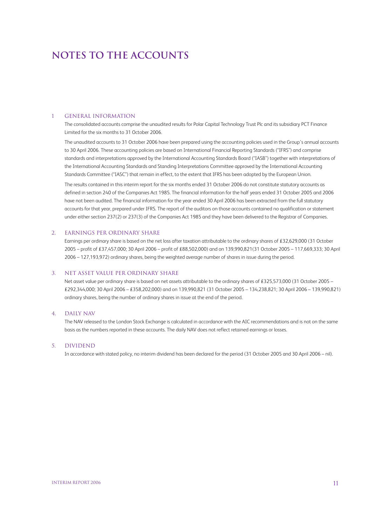## **Notes to the Accounts**

#### 1 General Information

The consolidated accounts comprise the unaudited results for Polar Capital Technology Trust Plc and its subsidiary PCT Finance Limited for the six months to 31 October 2006.

The unaudited accounts to 31 October 2006 have been prepared using the accounting policies used in the Group's annual accounts to 30 April 2006. These accounting policies are based on International Financial Reporting Standards ("IFRS") and comprise standards and interpretations approved by the International Accounting Standards Board ("IASB") together with interpretations of the International Accounting Standards and Standing Interpretations Committee approved by the International Accounting Standards Committee ("IASC") that remain in effect, to the extent that IFRS has been adopted by the European Union.

The results contained in this interim report for the six months ended 31 October 2006 do not constitute statutory accounts as defined in section 240 of the Companies Act 1985. The financial information for the half years ended 31 October 2005 and 2006 have not been audited. The financial information for the year ended 30 April 2006 has been extracted from the full statutory accounts for that year, prepared under IFRS. The report of the auditors on those accounts contained no qualification or statement under either section 237(2) or 237(3) of the Companies Act 1985 and they have been delivered to the Registrar of Companies.

### 2. Earnings per ordinary share

Earnings per ordinary share is based on the net loss after taxation attributable to the ordinary shares of £32,629,000 (31 October 2005 – profit of £37,457,000; 30 April 2006 – profit of £88,502,000) and on 139,990,821(31 October 2005 – 117,669,333; 30 April 2006 – 127,193,972) ordinary shares, being the weighted average number of shares in issue during the period.

### 3. Net asset value per ordinary share

Net asset value per ordinary share is based on net assets attributable to the ordinary shares of £325,573,000 (31 October 2005 – £292,344,000; 30 April 2006 – £358,202,000) and on 139,990,821 (31 October 2005 – 134,238,821; 30 April 2006 – 139,990,821) ordinary shares, being the number of ordinary shares in issue at the end of the period.

### 4. Daily NAV

The NAV released to the London Stock Exchange is calculated in accordance with the AIC recommendations and is not on the same basis as the numbers reported in these accounts. The daily NAV does not reflect retained earnings or losses.

### 5. DIVIDEND

In accordance with stated policy, no interim dividend has been declared for the period (31 October 2005 and 30 April 2006 – nil).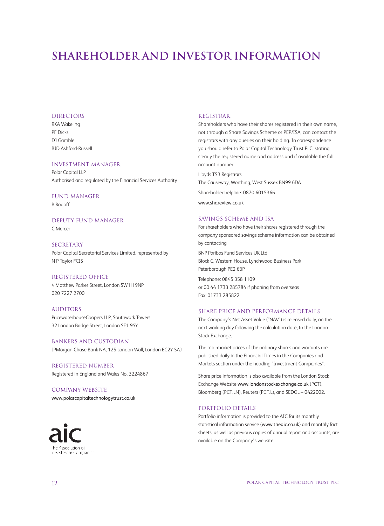# **shareholder and investor information**

#### **DIRECTORS**

RKA Wakeling PF Dicks DJ Gamble BJD Ashford-Russell

### Investment Manager

Polar Capital LLP Authorised and regulated by the Financial Services Authority

#### Fund Manager

B Rogoff

### Deputy Fund Manager

C Mercer

**SECRETARY** Polar Capital Secretarial Services Limited, represented by N P Taylor FCIS

#### Registered Office

4 Matthew Parker Street, London SW1H 9NP 020 7227 2700

**AUDITORS** PricewaterhouseCoopers LLP, Southwark Towers 32 London Bridge Street, London SE1 9SY

#### Bankers and Custodian

JPMorgan Chase Bank NA, 125 London Wall, London EC2Y 5AJ

Registered Number Registered in England and Wales No. 3224867

### Company Website www.polarcapitaltechnologytrust.co.uk



#### **REGISTRAR**

Shareholders who have their shares registered in their own name, not through a Share Savings Scheme or PEP/ISA, can contact the registrars with any queries on their holding. In correspondence you should refer to Polar Capital Technology Trust PLC, stating clearly the registered name and address and if available the full account number.

Lloyds TSB Registrars The Causeway, Worthing, West Sussex BN99 6DA Shareholder helpline: 0870 6015366 www.shareview.co.uk

#### Savings scheme and isa

For shareholders who have their shares registered through the company sponsored savings scheme information can be obtained by contacting

BNP Paribas Fund Services UK Ltd Block C, Western House, Lynchwood Business Park Peterborough PE2 6BP

Telephone: 0845 358 1109 or 00 44 1733 285784 if phoning from overseas Fax: 01733 285822

### SHARE PRICE AND PERFORMANCE DETAILS

The Company's Net Asset Value ("NAV") is released daily, on the next working day following the calculation date, to the London Stock Exchange.

The mid-market prices of the ordinary shares and warrants are published daily in the Financial Times in the Companies and Markets section under the heading "Investment Companies".

Share price information is also available from the London Stock Exchange Website www.londonstockexchange.co.uk (PCT), Bloomberg (PCT.LN), Reuters (PCT.L), and SEDOL – 0422002.

### PORTFOLIO DETAILS

Portfolio information is provided to the AIC for its monthly statistical information service (www.theaic.co.uk) and monthly fact sheets, as well as previous copies of annual report and accounts, are available on the Company's website.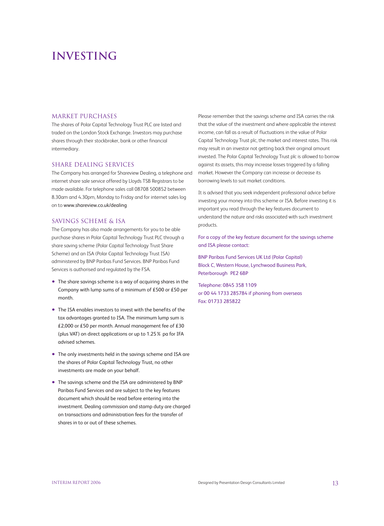# **investing**

### MARKET PURCHASES

The shares of Polar Capital Technology Trust PLC are listed and traded on the London Stock Exchange. Investors may purchase shares through their stockbroker, bank or other financial intermediary.

### SHARE DEALING SERVICES

The Company has arranged for Shareview Dealing, a telephone and internet share sale service offered by Lloyds TSB Registrars to be made available. For telephone sales call 08708 500852 between 8.30am and 4.30pm, Monday to Friday and for internet sales log on to www.shareview.co.uk/dealing

### SAVINGS SCHEME & ISA

The Company has also made arrangements for you to be able purchase shares in Polar Capital Technology Trust PLC through a share saving scheme (Polar Capital Technology Trust Share Scheme) and an ISA (Polar Capital Technology Trust ISA) administered by BNP Paribas Fund Services. BNP Paribas Fund Services is authorised and regulated by the FSA.

- The share savings scheme is a way of acquiring shares in the Company with lump sums of a minimum of £500 or £50 per month.
- The ISA enables investors to invest with the benefits of the tax advantages granted to ISA. The minimum lump sum is £2,000 or £50 per month. Annual management fee of £30 (plus VAT) on direct applications or up to 1.25% pa for IFA advised schemes.
- The only investments held in the savings scheme and ISA are the shares of Polar Capital Technology Trust, no other investments are made on your behalf.
- The savings scheme and the ISA are administered by BNP Paribas Fund Services and are subject to the key features document which should be read before entering into the investment. Dealing commission and stamp duty are charged on transactions and administration fees for the transfer of shares in to or out of these schemes.

Please remember that the savings scheme and ISA carries the risk that the value of the investment and where applicable the interest income, can fall as a result of fluctuations in the value of Polar Capital Technology Trust plc, the market and interest rates. This risk may result in an investor not getting back their original amount invested. The Polar Capital Technology Trust plc is allowed to borrow against its assets, this may increase losses triggered by a falling market. However the Company can increase or decrease its borrowing levels to suit market conditions.

It is advised that you seek independent professional advice before investing your money into this scheme or ISA. Before investing it is important you read through the key features document to understand the nature and risks associated with such investment products.

For a copy of the key feature document for the savings scheme and ISA please contact:

BNP Paribas Fund Services UK Ltd (Polar Capital) Block C, Western House, Lynchwood Business Park, Peterborough PE2 6BP

Telephone: 0845 358 1109 or 00 44 1733 285784 if phoning from overseas Fax: 01733 285822